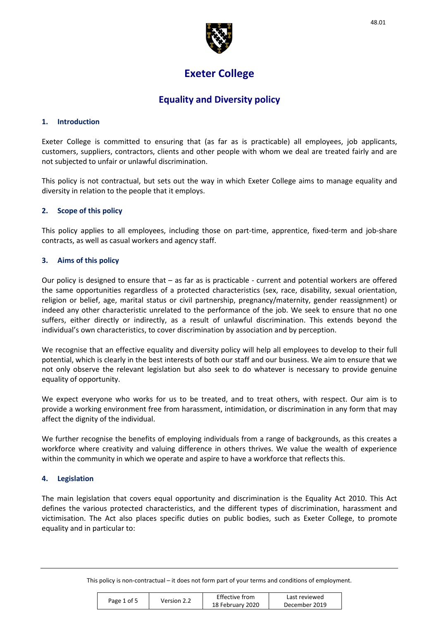

# **Exeter College**

## **Equality and Diversity policy**

## **1. Introduction**

Exeter College is committed to ensuring that (as far as is practicable) all employees, job applicants, customers, suppliers, contractors, clients and other people with whom we deal are treated fairly and are not subjected to unfair or unlawful discrimination.

This policy is not contractual, but sets out the way in which Exeter College aims to manage equality and diversity in relation to the people that it employs.

## **2. Scope of this policy**

This policy applies to all employees, including those on part-time, apprentice, fixed-term and job-share contracts, as well as casual workers and agency staff.

## **3. Aims of this policy**

Our policy is designed to ensure that – as far as is practicable - current and potential workers are offered the same opportunities regardless of a protected characteristics (sex, race, disability, sexual orientation, religion or belief, age, marital status or civil partnership, pregnancy/maternity, gender reassignment) or indeed any other characteristic unrelated to the performance of the job. We seek to ensure that no one suffers, either directly or indirectly, as a result of unlawful discrimination. This extends beyond the individual's own characteristics, to cover discrimination by association and by perception.

We recognise that an effective equality and diversity policy will help all employees to develop to their full potential, which is clearly in the best interests of both our staff and our business. We aim to ensure that we not only observe the relevant legislation but also seek to do whatever is necessary to provide genuine equality of opportunity.

We expect everyone who works for us to be treated, and to treat others, with respect. Our aim is to provide a working environment free from harassment, intimidation, or discrimination in any form that may affect the dignity of the individual.

We further recognise the benefits of employing individuals from a range of backgrounds, as this creates a workforce where creativity and valuing difference in others thrives. We value the wealth of experience within the community in which we operate and aspire to have a workforce that reflects this.

## **4. Legislation**

The main legislation that covers equal opportunity and discrimination is the Equality Act 2010. This Act defines the various protected characteristics, and the different types of discrimination, harassment and victimisation. The Act also places specific duties on public bodies, such as Exeter College, to promote equality and in particular to:

| Page 1 of 5 |             | Effective from   | Last reviewed |
|-------------|-------------|------------------|---------------|
|             | Version 2.2 | 18 February 2020 | December 2019 |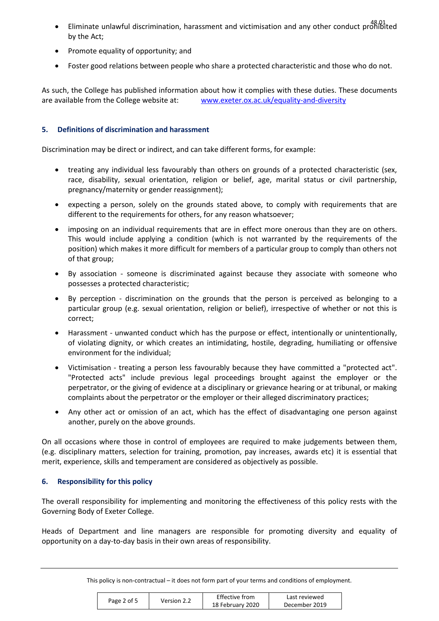- Eliminate unlawful discrimination, harassment and victimisation and any other conduct prohibited by the Act;
- Promote equality of opportunity; and
- Foster good relations between people who share a protected characteristic and those who do not.

As such, the College has published information about how it complies with these duties. These documents are available from the College website at: www.exeter.ox.ac.uk/equality-and-diversity

## **5. Definitions of discrimination and harassment**

Discrimination may be direct or indirect, and can take different forms, for example:

- treating any individual less favourably than others on grounds of a protected characteristic (sex, race, disability, sexual orientation, religion or belief, age, marital status or civil partnership, pregnancy/maternity or gender reassignment);
- expecting a person, solely on the grounds stated above, to comply with requirements that are different to the requirements for others, for any reason whatsoever;
- imposing on an individual requirements that are in effect more onerous than they are on others. This would include applying a condition (which is not warranted by the requirements of the position) which makes it more difficult for members of a particular group to comply than others not of that group;
- By association someone is discriminated against because they associate with someone who possesses a protected characteristic;
- By perception discrimination on the grounds that the person is perceived as belonging to a particular group (e.g. sexual orientation, religion or belief), irrespective of whether or not this is correct;
- Harassment unwanted conduct which has the purpose or effect, intentionally or unintentionally, of violating dignity, or which creates an intimidating, hostile, degrading, humiliating or offensive environment for the individual;
- Victimisation treating a person less favourably because they have committed a "protected act". "Protected acts" include previous legal proceedings brought against the employer or the perpetrator, or the giving of evidence at a disciplinary or grievance hearing or at tribunal, or making complaints about the perpetrator or the employer or their alleged discriminatory practices;
- Any other act or omission of an act, which has the effect of disadvantaging one person against another, purely on the above grounds.

On all occasions where those in control of employees are required to make judgements between them, (e.g. disciplinary matters, selection for training, promotion, pay increases, awards etc) it is essential that merit, experience, skills and temperament are considered as objectively as possible.

## **6. Responsibility for this policy**

The overall responsibility for implementing and monitoring the effectiveness of this policy rests with the Governing Body of Exeter College.

Heads of Department and line managers are responsible for promoting diversity and equality of opportunity on a day-to-day basis in their own areas of responsibility.

|             |             | Effective from   | Last reviewed |
|-------------|-------------|------------------|---------------|
| Page 2 of 5 | Version 2.2 | 18 February 2020 | December 2019 |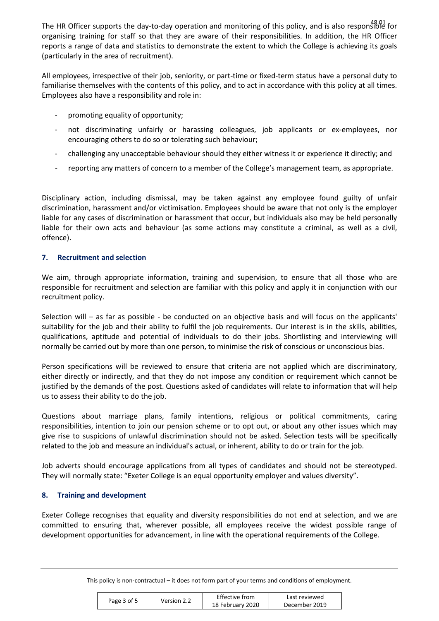The HR Officer supports the day-to-day operation and monitoring of this policy, and is also responsible for organising training for staff so that they are aware of their responsibilities. In addition, the HR Officer reports a range of data and statistics to demonstrate the extent to which the College is achieving its goals (particularly in the area of recruitment).

All employees, irrespective of their job, seniority, or part-time or fixed-term status have a personal duty to familiarise themselves with the contents of this policy, and to act in accordance with this policy at all times. Employees also have a responsibility and role in:

- promoting equality of opportunity;
- not discriminating unfairly or harassing colleagues, job applicants or ex-employees, nor encouraging others to do so or tolerating such behaviour;
- challenging any unacceptable behaviour should they either witness it or experience it directly; and
- reporting any matters of concern to a member of the College's management team, as appropriate.

Disciplinary action, including dismissal, may be taken against any employee found guilty of unfair discrimination, harassment and/or victimisation. Employees should be aware that not only is the employer liable for any cases of discrimination or harassment that occur, but individuals also may be held personally liable for their own acts and behaviour (as some actions may constitute a criminal, as well as a civil, offence).

## **7. Recruitment and selection**

We aim, through appropriate information, training and supervision, to ensure that all those who are responsible for recruitment and selection are familiar with this policy and apply it in conjunction with our recruitment policy.

Selection will – as far as possible - be conducted on an objective basis and will focus on the applicants' suitability for the job and their ability to fulfil the job requirements. Our interest is in the skills, abilities, qualifications, aptitude and potential of individuals to do their jobs. Shortlisting and interviewing will normally be carried out by more than one person, to minimise the risk of conscious or unconscious bias.

Person specifications will be reviewed to ensure that criteria are not applied which are discriminatory, either directly or indirectly, and that they do not impose any condition or requirement which cannot be justified by the demands of the post. Questions asked of candidates will relate to information that will help us to assess their ability to do the job.

Questions about marriage plans, family intentions, religious or political commitments, caring responsibilities, intention to join our pension scheme or to opt out, or about any other issues which may give rise to suspicions of unlawful discrimination should not be asked. Selection tests will be specifically related to the job and measure an individual's actual, or inherent, ability to do or train for the job.

Job adverts should encourage applications from all types of candidates and should not be stereotyped. They will normally state: "Exeter College is an equal opportunity employer and values diversity".

## **8. Training and development**

Exeter College recognises that equality and diversity responsibilities do not end at selection, and we are committed to ensuring that, wherever possible, all employees receive the widest possible range of development opportunities for advancement, in line with the operational requirements of the College.

|             |             | Effective from   | Last reviewed |
|-------------|-------------|------------------|---------------|
| Page 3 of 5 | Version 2.2 | 18 February 2020 | December 2019 |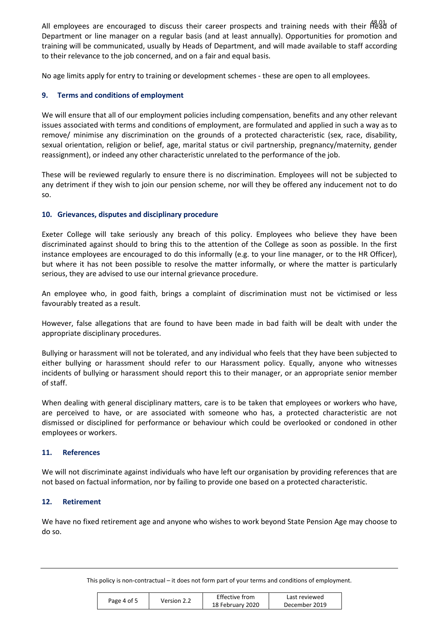All employees are encouraged to discuss their career prospects and training needs with their A8.01 of Department or line manager on a regular basis (and at least annually). Opportunities for promotion and training will be communicated, usually by Heads of Department, and will made available to staff according to their relevance to the job concerned, and on a fair and equal basis.

No age limits apply for entry to training or development schemes - these are open to all employees.

## **9. Terms and conditions of employment**

We will ensure that all of our employment policies including compensation, benefits and any other relevant issues associated with terms and conditions of employment, are formulated and applied in such a way as to remove/ minimise any discrimination on the grounds of a protected characteristic (sex, race, disability, sexual orientation, religion or belief, age, marital status or civil partnership, pregnancy/maternity, gender reassignment), or indeed any other characteristic unrelated to the performance of the job.

These will be reviewed regularly to ensure there is no discrimination. Employees will not be subjected to any detriment if they wish to join our pension scheme, nor will they be offered any inducement not to do so.

## **10. Grievances, disputes and disciplinary procedure**

Exeter College will take seriously any breach of this policy. Employees who believe they have been discriminated against should to bring this to the attention of the College as soon as possible. In the first instance employees are encouraged to do this informally (e.g. to your line manager, or to the HR Officer), but where it has not been possible to resolve the matter informally, or where the matter is particularly serious, they are advised to use our internal grievance procedure.

An employee who, in good faith, brings a complaint of discrimination must not be victimised or less favourably treated as a result.

However, false allegations that are found to have been made in bad faith will be dealt with under the appropriate disciplinary procedures.

Bullying or harassment will not be tolerated, and any individual who feels that they have been subjected to either bullying or harassment should refer to our Harassment policy. Equally, anyone who witnesses incidents of bullying or harassment should report this to their manager, or an appropriate senior member of staff.

When dealing with general disciplinary matters, care is to be taken that employees or workers who have, are perceived to have, or are associated with someone who has, a protected characteristic are not dismissed or disciplined for performance or behaviour which could be overlooked or condoned in other employees or workers.

## **11. References**

We will not discriminate against individuals who have left our organisation by providing references that are not based on factual information, nor by failing to provide one based on a protected characteristic.

## **12. Retirement**

We have no fixed retirement age and anyone who wishes to work beyond State Pension Age may choose to do so.

|             |             | Effective from   | Last reviewed |
|-------------|-------------|------------------|---------------|
| Page 4 of 5 | Version 2.2 | 18 February 2020 | December 2019 |